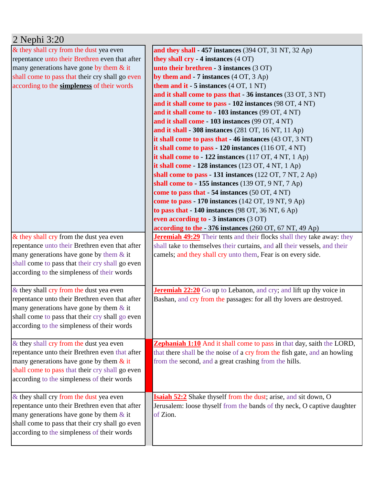| 2 Nephi 3:20                                    |                                                                                   |
|-------------------------------------------------|-----------------------------------------------------------------------------------|
| & they shall cry from the dust yea even         | and they shall - 457 instances (394 OT, 31 NT, 32 Ap)                             |
| repentance unto their Brethren even that after  | they shall cry - 4 instances (4 OT)                                               |
| many generations have gone by them $&$ it       | unto their brethren - 3 instances (3 OT)                                          |
| shall come to pass that their cry shall go even | by them and $-7$ instances $(4 OT, 3 Ap)$                                         |
| according to the simpleness of their words      | them and it - $5$ instances $(4 OT, 1 NT)$                                        |
|                                                 | and it shall come to pass that - 36 instances (33 OT, 3 NT)                       |
|                                                 | and it shall come to pass - 102 instances (98 OT, 4 NT)                           |
|                                                 | and it shall come to - 103 instances (99 OT, 4 NT)                                |
|                                                 | and it shall come - 103 instances (99 OT, 4 NT)                                   |
|                                                 | and it shall - 308 instances (281 OT, 16 NT, 11 Ap)                               |
|                                                 | it shall come to pass that $-46$ instances (43 OT, 3 NT)                          |
|                                                 | it shall come to pass $-120$ instances (116 OT, 4 NT)                             |
|                                                 | it shall come to - 122 instances $(117 \text{ OT}, 4 \text{ NT}, 1 \text{ Ap})$   |
|                                                 | it shall come $-128$ instances (123 OT, 4 NT, 1 Ap)                               |
|                                                 | shall come to pass - 131 instances $(122 \text{ OT}, 7 \text{ NT}, 2 \text{ Ap})$ |
|                                                 | shall come to $-155$ instances (139 OT, 9 NT, 7 Ap)                               |
|                                                 | come to pass that $-54$ instances (50 OT, 4 NT)                                   |
|                                                 | come to pass - 170 instances (142 OT, 19 NT, 9 Ap)                                |
|                                                 | to pass that $-140$ instances (98 OT, 36 NT, 6 Ap)                                |
|                                                 | even according to - 3 instances (3 OT)                                            |
|                                                 | according to the - 376 instances (260 OT, 67 NT, 49 Ap)                           |
| & they shall cry from the dust yea even         | <b>Jeremiah 49:29</b> Their tents and their flocks shall they take away: they     |
| repentance unto their Brethren even that after  | shall take to themselves their curtains, and all their vessels, and their         |
| many generations have gone by them $&$ it       | camels; and they shall cry unto them, Fear is on every side.                      |
| shall come to pass that their cry shall go even |                                                                                   |
| according to the simpleness of their words      |                                                                                   |
|                                                 |                                                                                   |
| & they shall cry from the dust yea even         | <b>Jeremiah 22:20</b> Go up to Lebanon, and cry; and lift up thy voice in         |
| repentance unto their Brethren even that after  | Bashan, and cry from the passages: for all thy lovers are destroyed.              |
| many generations have gone by them $\&$ it      |                                                                                   |
| shall come to pass that their cry shall go even |                                                                                   |
| according to the simpleness of their words      |                                                                                   |
| & they shall cry from the dust yea even         | <b>Zephaniah 1:10</b> And it shall come to pass in that day, saith the LORD,      |
| repentance unto their Brethren even that after  | that there shall be the noise of a cry from the fish gate, and an howling         |
| many generations have gone by them $\&$ it      | from the second, and a great crashing from the hills.                             |
| shall come to pass that their cry shall go even |                                                                                   |
| according to the simpleness of their words      |                                                                                   |
|                                                 |                                                                                   |
| & they shall cry from the dust yea even         | Isaiah 52:2 Shake thyself from the dust; arise, and sit down, O                   |
| repentance unto their Brethren even that after  | Jerusalem: loose thyself from the bands of thy neck, O captive daughter           |
| many generations have gone by them $\&$ it      | of Zion.                                                                          |
| shall come to pass that their cry shall go even |                                                                                   |
| according to the simpleness of their words      |                                                                                   |
|                                                 |                                                                                   |